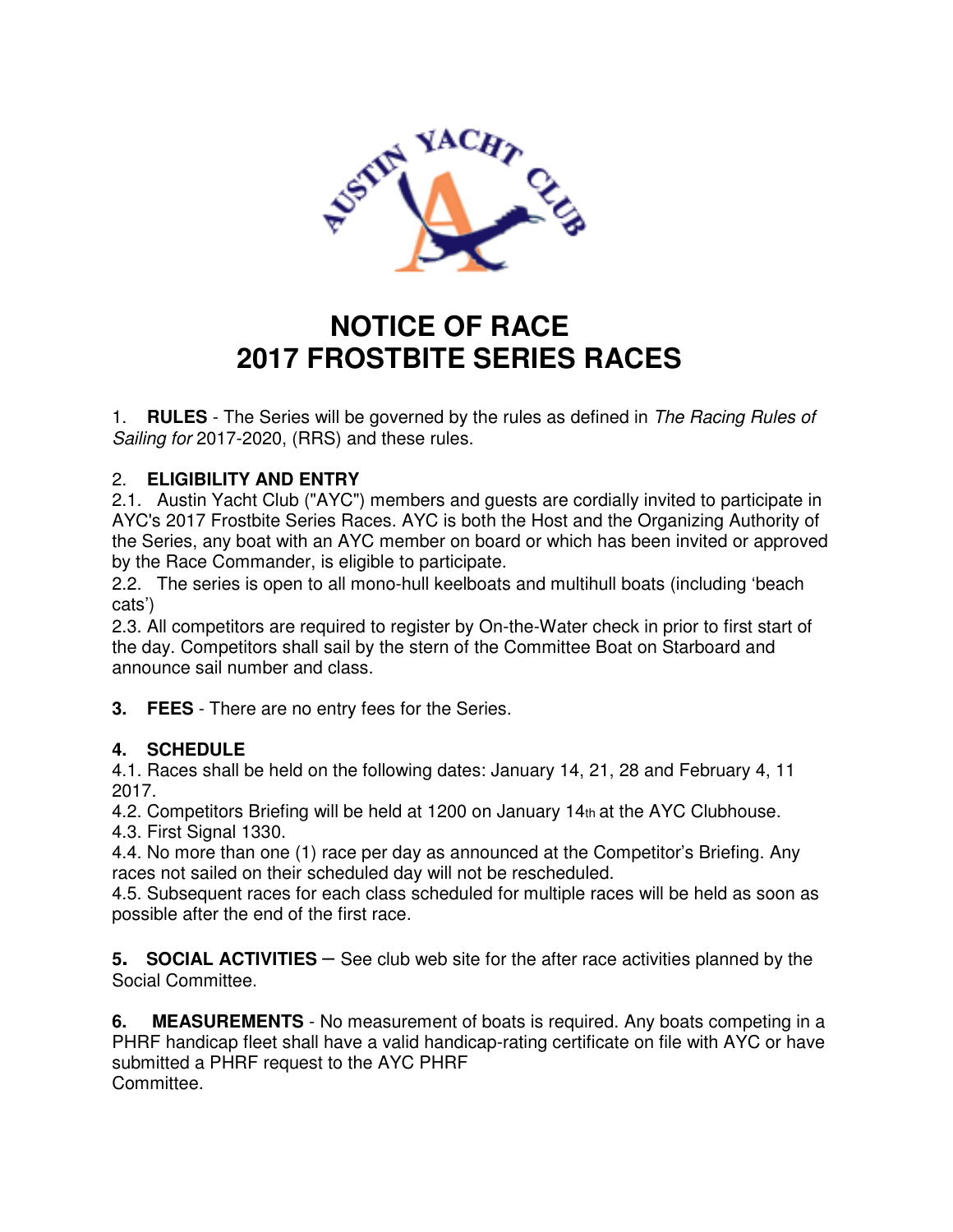

## **NOTICE OF RACE 2017 FROSTBITE SERIES RACES**

1. **RULES** - The Series will be governed by the rules as defined in The Racing Rules of Sailing for 2017-2020, (RRS) and these rules.

## 2. **ELIGIBILITY AND ENTRY**

2.1. Austin Yacht Club ("AYC") members and guests are cordially invited to participate in AYC's 2017 Frostbite Series Races. AYC is both the Host and the Organizing Authority of the Series, any boat with an AYC member on board or which has been invited or approved by the Race Commander, is eligible to participate.

2.2. The series is open to all mono-hull keelboats and multihull boats (including 'beach cats')

2.3. All competitors are required to register by On-the-Water check in prior to first start of the day. Competitors shall sail by the stern of the Committee Boat on Starboard and announce sail number and class.

**3. FEES** - There are no entry fees for the Series.

## **4. SCHEDULE**

4.1. Races shall be held on the following dates: January 14, 21, 28 and February 4, 11 2017.

4.2. Competitors Briefing will be held at 1200 on January 14th at the AYC Clubhouse. 4.3. First Signal 1330.

4.4. No more than one (1) race per day as announced at the Competitor's Briefing. Any races not sailed on their scheduled day will not be rescheduled.

4.5. Subsequent races for each class scheduled for multiple races will be held as soon as possible after the end of the first race.

**<sup>5</sup>. SOCIAL ACTIVITIES** – See club web site for the after race activities planned by the Social Committee.

**6. MEASUREMENTS** - No measurement of boats is required. Any boats competing in a PHRF handicap fleet shall have a valid handicap-rating certificate on file with AYC or have submitted a PHRF request to the AYC PHRF Committee.